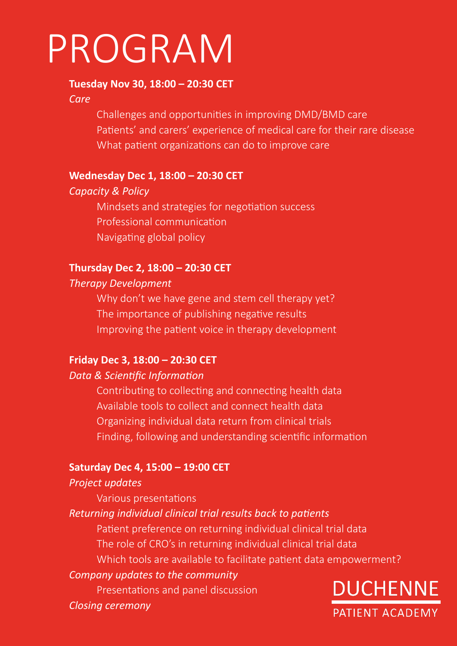# [PROGRAM](https://www.duchennepatientacademy.org/)

#### **Tuesday Nov 30, 18:00 – 20:30 CET**

#### *Care*

 Challenges and opportunities in improving DMD/BMD care Patients' and carers' experience of medical care for their rare disease What patient organizations can do to improve care

#### **Wednesday Dec 1, 18:00 – 20:30 CET**

#### *Capacity & Policy*

 Mindsets and strategies for negotiation success Professional communication Navigating global policy

# **Thursday Dec 2, 18:00 – 20:30 CET**

#### *Therapy Development*

Why don't we have gene and stem cell therapy yet? The importance of publishing negative results Improving the patient voice in therapy development

# **Friday Dec 3, 18:00 – 20:30 CET**

# *Data & Scientific Information*

 Contributing to collecting and connecting health data Available tools to collect and connect health data Organizing individual data return from clinical trials Finding, following and understanding scientific information

# **Saturday Dec 4, 15:00 – 19:00 CET**

# *Project updates*

 Various presentations

# *Returning individual clinical trial results back to patients*

 Patient preference on returning individual clinical trial data The role of CRO's in returning individual clinical trial data Which tools are available to facilitate patient data empowerment?

# *Company updates to the community*

 Presentations and panel discussion

*Closing ceremony*

**DUCHENNE** PATIENT ACADEMY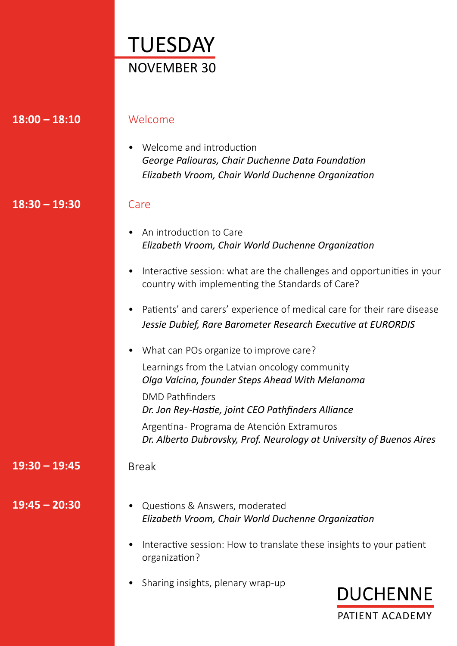| TUESDAY     |
|-------------|
| NOVEMBER 30 |

| $18:00 - 18:10$ | Welcome                                                                                                                                 |
|-----------------|-----------------------------------------------------------------------------------------------------------------------------------------|
|                 | Welcome and introduction<br>George Paliouras, Chair Duchenne Data Foundation<br>Elizabeth Vroom, Chair World Duchenne Organization      |
| $18:30 - 19:30$ | Care                                                                                                                                    |
|                 | An introduction to Care<br>Elizabeth Vroom, Chair World Duchenne Organization                                                           |
|                 | Interactive session: what are the challenges and opportunities in your<br>$\bullet$<br>country with implementing the Standards of Care? |
|                 | Patients' and carers' experience of medical care for their rare disease<br>Jessie Dubief, Rare Barometer Research Executive at EURORDIS |
|                 | What can POs organize to improve care?<br>$\bullet$                                                                                     |
|                 | Learnings from the Latvian oncology community<br>Olga Valcina, founder Steps Ahead With Melanoma                                        |
|                 | <b>DMD Pathfinders</b><br>Dr. Jon Rey-Hastie, joint CEO Pathfinders Alliance                                                            |
|                 | Argentina-Programa de Atención Extramuros<br>Dr. Alberto Dubrovsky, Prof. Neurology at University of Buenos Aires                       |
| $19:30 - 19:45$ | <b>Break</b>                                                                                                                            |
| $19:45 - 20:30$ | Questions & Answers, moderated<br>$\bullet$<br>Elizabeth Vroom, Chair World Duchenne Organization                                       |
|                 | Interactive session: How to translate these insights to your patient<br>organization?                                                   |
|                 | Sharing insights, plenary wrap-up<br><b>DUCHENNE</b>                                                                                    |
|                 | PATIENT ACADEMY                                                                                                                         |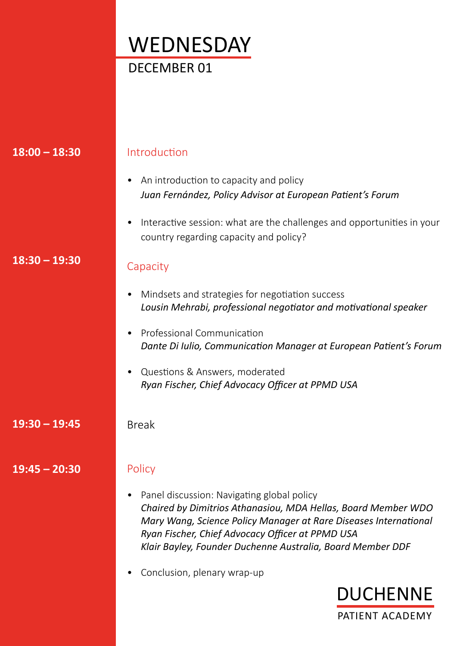# **WEDNESDAY** DECEMBER 01

| $18:00 - 18:30$ | Introduction                                                                                                                                                                                                                                                                                      |
|-----------------|---------------------------------------------------------------------------------------------------------------------------------------------------------------------------------------------------------------------------------------------------------------------------------------------------|
|                 | An introduction to capacity and policy<br>Juan Fernández, Policy Advisor at European Patient's Forum                                                                                                                                                                                              |
|                 | Interactive session: what are the challenges and opportunities in your<br>$\bullet$<br>country regarding capacity and policy?                                                                                                                                                                     |
| $18:30 - 19:30$ | Capacity                                                                                                                                                                                                                                                                                          |
|                 | Mindsets and strategies for negotiation success<br>$\bullet$<br>Lousin Mehrabi, professional negotiator and motivational speaker                                                                                                                                                                  |
|                 | Professional Communication<br>Dante Di Iulio, Communication Manager at European Patient's Forum                                                                                                                                                                                                   |
|                 | Questions & Answers, moderated<br>Ryan Fischer, Chief Advocacy Officer at PPMD USA                                                                                                                                                                                                                |
| $19:30 - 19:45$ | <b>Break</b>                                                                                                                                                                                                                                                                                      |
| $19:45 - 20:30$ | Policy                                                                                                                                                                                                                                                                                            |
|                 | Panel discussion: Navigating global policy<br>Chaired by Dimitrios Athanasiou, MDA Hellas, Board Member WDO<br>Mary Wang, Science Policy Manager at Rare Diseases International<br>Ryan Fischer, Chief Advocacy Officer at PPMD USA<br>Klair Bayley, Founder Duchenne Australia, Board Member DDF |
|                 | Conclusion, plenary wrap-up                                                                                                                                                                                                                                                                       |
|                 | <b>DUCHENNE</b>                                                                                                                                                                                                                                                                                   |

PATIENT ACADEMY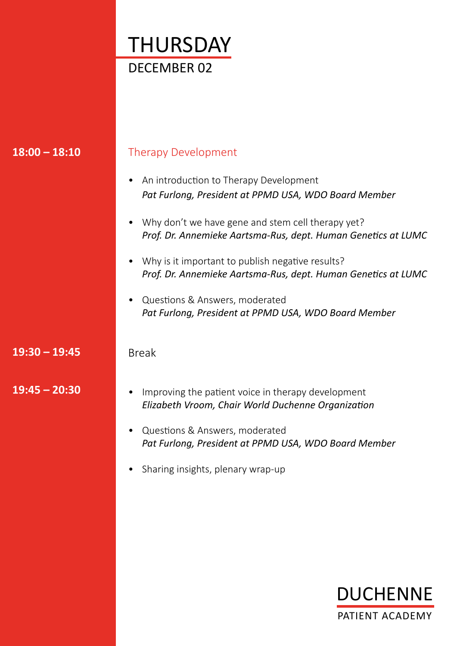

| $18:00 - 18:10$ | <b>Therapy Development</b>                                                                                         |
|-----------------|--------------------------------------------------------------------------------------------------------------------|
|                 | An introduction to Therapy Development<br>Pat Furlong, President at PPMD USA, WDO Board Member                     |
|                 | Why don't we have gene and stem cell therapy yet?<br>Prof. Dr. Annemieke Aartsma-Rus, dept. Human Genetics at LUMC |
|                 | Why is it important to publish negative results?<br>Prof. Dr. Annemieke Aartsma-Rus, dept. Human Genetics at LUMC  |
|                 | Questions & Answers, moderated<br>Pat Furlong, President at PPMD USA, WDO Board Member                             |
| $19:30 - 19:45$ | <b>Break</b>                                                                                                       |
| $19:45 - 20:30$ | Improving the patient voice in therapy development<br>Elizabeth Vroom, Chair World Duchenne Organization           |
|                 | Questions & Answers, moderated<br>Pat Furlong, President at PPMD USA, WDO Board Member                             |
|                 | Sharing insights, plenary wrap-up                                                                                  |

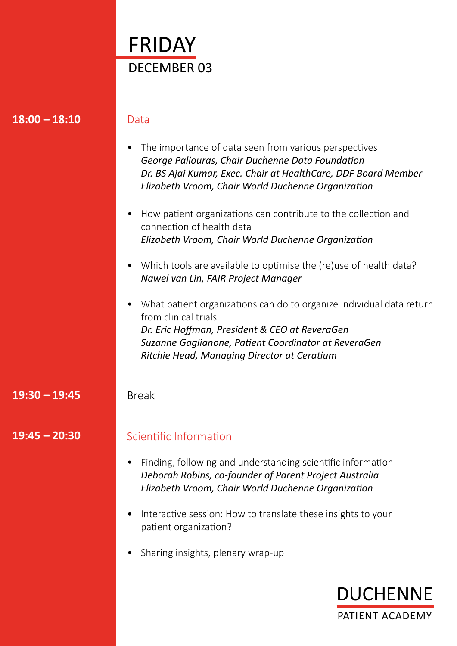|           | FRIDAY                                                                                                                                                                                                                                                     |
|-----------|------------------------------------------------------------------------------------------------------------------------------------------------------------------------------------------------------------------------------------------------------------|
|           | <b>DECEMBER 03</b>                                                                                                                                                                                                                                         |
|           |                                                                                                                                                                                                                                                            |
|           |                                                                                                                                                                                                                                                            |
| $-18:10$  | Data                                                                                                                                                                                                                                                       |
|           | The importance of data seen from various perspectives<br>٠<br>George Paliouras, Chair Duchenne Data Foundation<br>Dr. BS Ajai Kumar, Exec. Chair at HealthCare, DDF Board Member<br>Elizabeth Vroom, Chair World Duchenne Organization                     |
|           | How patient organizations can contribute to the collection and<br>$\bullet$<br>connection of health data<br>Elizabeth Vroom, Chair World Duchenne Organization                                                                                             |
|           | Which tools are available to optimise the (re)use of health data?<br>$\bullet$<br>Nawel van Lin, FAIR Project Manager                                                                                                                                      |
|           | What patient organizations can do to organize individual data return<br>٠<br>from clinical trials<br>Dr. Eric Hoffman, President & CEO at ReveraGen<br>Suzanne Gaglianone, Patient Coordinator at ReveraGen<br>Ritchie Head, Managing Director at Ceratium |
| $= 19:45$ | <b>Break</b>                                                                                                                                                                                                                                               |
| $-20:30$  | Scientific Information                                                                                                                                                                                                                                     |
|           | Finding, following and understanding scientific information<br>$\bullet$<br>Deborah Robins, co-founder of Parent Project Australia<br>Elizabeth Vroom, Chair World Duchenne Organization                                                                   |
|           | Interactive session: How to translate these insights to your<br>patient organization?                                                                                                                                                                      |
|           | Sharing insights, plenary wrap-up                                                                                                                                                                                                                          |

**18:00 – 18:10**

**19:30 – 19:45**

**19:45 – 20:30**